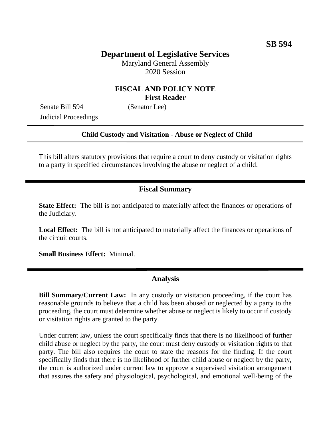# **Department of Legislative Services**

Maryland General Assembly 2020 Session

## **FISCAL AND POLICY NOTE First Reader**

Senate Bill 594 (Senator Lee) Judicial Proceedings

#### **Child Custody and Visitation - Abuse or Neglect of Child**

This bill alters statutory provisions that require a court to deny custody or visitation rights to a party in specified circumstances involving the abuse or neglect of a child.

### **Fiscal Summary**

**State Effect:** The bill is not anticipated to materially affect the finances or operations of the Judiciary.

**Local Effect:** The bill is not anticipated to materially affect the finances or operations of the circuit courts.

**Small Business Effect:** Minimal.

### **Analysis**

**Bill Summary/Current Law:** In any custody or visitation proceeding, if the court has reasonable grounds to believe that a child has been abused or neglected by a party to the proceeding, the court must determine whether abuse or neglect is likely to occur if custody or visitation rights are granted to the party.

Under current law, unless the court specifically finds that there is no likelihood of further child abuse or neglect by the party, the court must deny custody or visitation rights to that party. The bill also requires the court to state the reasons for the finding. If the court specifically finds that there is no likelihood of further child abuse or neglect by the party, the court is authorized under current law to approve a supervised visitation arrangement that assures the safety and physiological, psychological, and emotional well-being of the